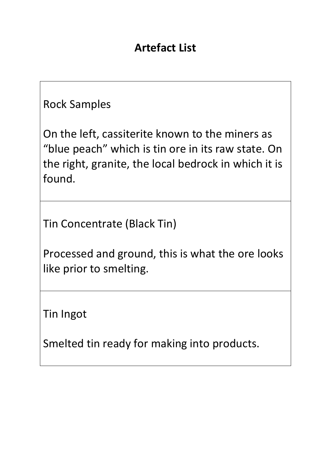## **Artefact List**

## Rock Samples

On the left, cassiterite known to the miners as "blue peach" which is tin ore in its raw state. On the right, granite, the local bedrock in which it is found.

Tin Concentrate (Black Tin)

Processed and ground, this is what the ore looks like prior to smelting.

Tin Ingot

Smelted tin ready for making into products.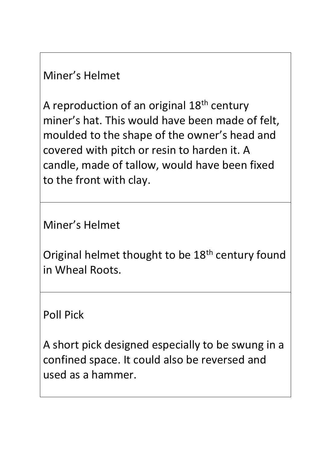Miner's Helmet

A reproduction of an original 18th century miner's hat. This would have been made of felt, moulded to the shape of the owner's head and covered with pitch or resin to harden it. A candle, made of tallow, would have been fixed to the front with clay.

Miner's Helmet

Original helmet thought to be 18<sup>th</sup> century found in Wheal Roots.

Poll Pick

A short pick designed especially to be swung in a confined space. It could also be reversed and used as a hammer.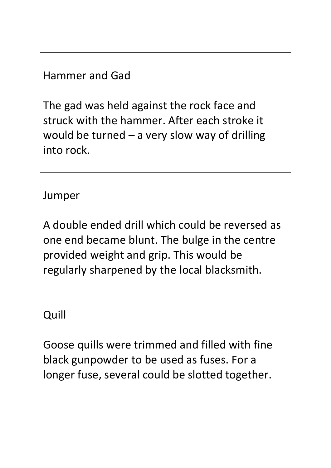## Hammer and Gad

The gad was held against the rock face and struck with the hammer. After each stroke it would be turned  $-$  a very slow way of drilling into rock.

Jumper

A double ended drill which could be reversed as one end became blunt. The bulge in the centre provided weight and grip. This would be regularly sharpened by the local blacksmith.

Quill

Goose quills were trimmed and filled with fine black gunpowder to be used as fuses. For a longer fuse, several could be slotted together.